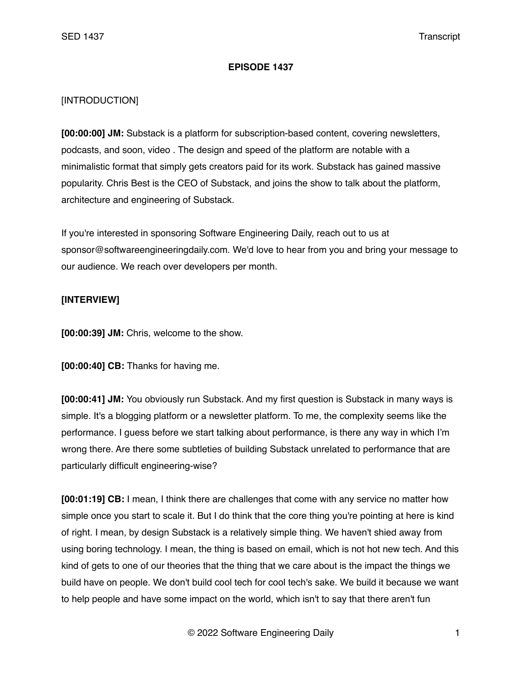## **EPISODE 1437**

## [INTRODUCTION]

**[00:00:00] JM:** Substack is a platform for subscription-based content, covering newsletters, podcasts, and soon, video . The design and speed of the platform are notable with a minimalistic format that simply gets creators paid for its work. Substack has gained massive popularity. Chris Best is the CEO of Substack, and joins the show to talk about the platform, architecture and engineering of Substack.

If you're interested in sponsoring Software Engineering Daily, reach out to us at sponsor@softwareengineeringdaily.com. We'd love to hear from you and bring your message to our audience. We reach over developers per month.

## **[INTERVIEW]**

**[00:00:39] JM:** Chris, welcome to the show.

**[00:00:40] CB:** Thanks for having me.

**[00:00:41] JM:** You obviously run Substack. And my first question is Substack in many ways is simple. It's a blogging platform or a newsletter platform. To me, the complexity seems like the performance. I guess before we start talking about performance, is there any way in which I'm wrong there. Are there some subtleties of building Substack unrelated to performance that are particularly difficult engineering-wise?

**[00:01:19] CB:** I mean, I think there are challenges that come with any service no matter how simple once you start to scale it. But I do think that the core thing you're pointing at here is kind of right. I mean, by design Substack is a relatively simple thing. We haven't shied away from using boring technology. I mean, the thing is based on email, which is not hot new tech. And this kind of gets to one of our theories that the thing that we care about is the impact the things we build have on people. We don't build cool tech for cool tech's sake. We build it because we want to help people and have some impact on the world, which isn't to say that there aren't fun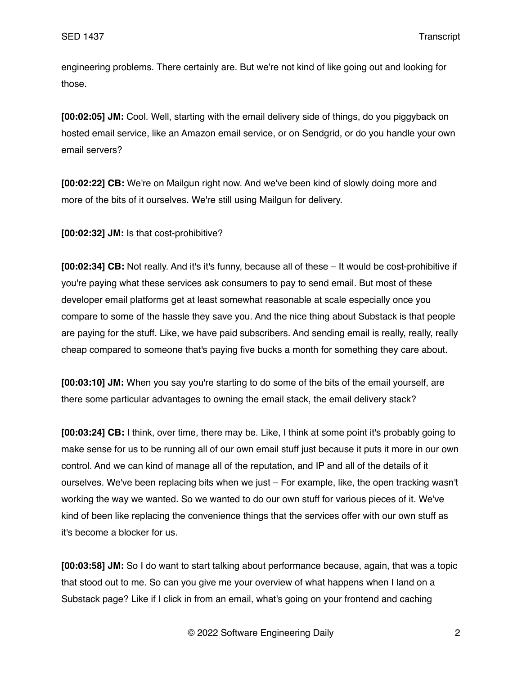engineering problems. There certainly are. But we're not kind of like going out and looking for those.

**[00:02:05] JM:** Cool. Well, starting with the email delivery side of things, do you piggyback on hosted email service, like an Amazon email service, or on Sendgrid, or do you handle your own email servers?

**[00:02:22] CB:** We're on Mailgun right now. And we've been kind of slowly doing more and more of the bits of it ourselves. We're still using Mailgun for delivery.

**[00:02:32] JM:** Is that cost-prohibitive?

**[00:02:34] CB:** Not really. And it's it's funny, because all of these – It would be cost-prohibitive if you're paying what these services ask consumers to pay to send email. But most of these developer email platforms get at least somewhat reasonable at scale especially once you compare to some of the hassle they save you. And the nice thing about Substack is that people are paying for the stuff. Like, we have paid subscribers. And sending email is really, really, really cheap compared to someone that's paying five bucks a month for something they care about.

**[00:03:10] JM:** When you say you're starting to do some of the bits of the email yourself, are there some particular advantages to owning the email stack, the email delivery stack?

**[00:03:24] CB:** I think, over time, there may be. Like, I think at some point it's probably going to make sense for us to be running all of our own email stuff just because it puts it more in our own control. And we can kind of manage all of the reputation, and IP and all of the details of it ourselves. We've been replacing bits when we just – For example, like, the open tracking wasn't working the way we wanted. So we wanted to do our own stuff for various pieces of it. We've kind of been like replacing the convenience things that the services offer with our own stuff as it's become a blocker for us.

**[00:03:58] JM:** So I do want to start talking about performance because, again, that was a topic that stood out to me. So can you give me your overview of what happens when I land on a Substack page? Like if I click in from an email, what's going on your frontend and caching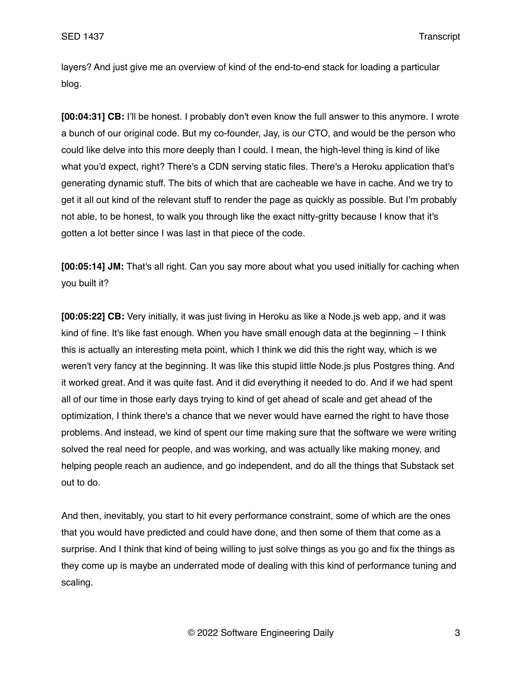layers? And just give me an overview of kind of the end-to-end stack for loading a particular blog.

**[00:04:31] CB:** I'll be honest. I probably don't even know the full answer to this anymore. I wrote a bunch of our original code. But my co-founder, Jay, is our CTO, and would be the person who could like delve into this more deeply than I could. I mean, the high-level thing is kind of like what you'd expect, right? There's a CDN serving static files. There's a Heroku application that's generating dynamic stuff. The bits of which that are cacheable we have in cache. And we try to get it all out kind of the relevant stuff to render the page as quickly as possible. But I'm probably not able, to be honest, to walk you through like the exact nitty-gritty because I know that it's gotten a lot better since I was last in that piece of the code.

**[00:05:14] JM:** That's all right. Can you say more about what you used initially for caching when you built it?

**[00:05:22] CB:** Very initially, it was just living in Heroku as like a Node.js web app, and it was kind of fine. It's like fast enough. When you have small enough data at the beginning – I think this is actually an interesting meta point, which I think we did this the right way, which is we weren't very fancy at the beginning. It was like this stupid little Node.js plus Postgres thing. And it worked great. And it was quite fast. And it did everything it needed to do. And if we had spent all of our time in those early days trying to kind of get ahead of scale and get ahead of the optimization, I think there's a chance that we never would have earned the right to have those problems. And instead, we kind of spent our time making sure that the software we were writing solved the real need for people, and was working, and was actually like making money, and helping people reach an audience, and go independent, and do all the things that Substack set out to do.

And then, inevitably, you start to hit every performance constraint, some of which are the ones that you would have predicted and could have done, and then some of them that come as a surprise. And I think that kind of being willing to just solve things as you go and fix the things as they come up is maybe an underrated mode of dealing with this kind of performance tuning and scaling.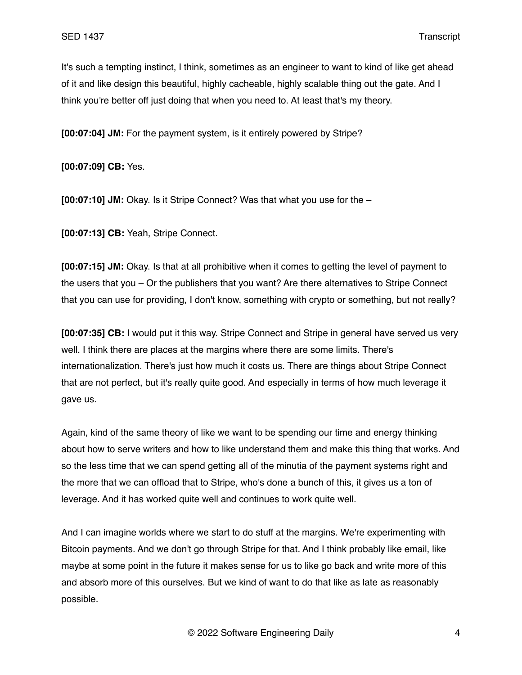It's such a tempting instinct, I think, sometimes as an engineer to want to kind of like get ahead of it and like design this beautiful, highly cacheable, highly scalable thing out the gate. And I think you're better off just doing that when you need to. At least that's my theory.

**[00:07:04] JM:** For the payment system, is it entirely powered by Stripe?

**[00:07:09] CB:** Yes.

**[00:07:10] JM:** Okay. Is it Stripe Connect? Was that what you use for the –

**[00:07:13] CB:** Yeah, Stripe Connect.

**[00:07:15] JM:** Okay. Is that at all prohibitive when it comes to getting the level of payment to the users that you – Or the publishers that you want? Are there alternatives to Stripe Connect that you can use for providing, I don't know, something with crypto or something, but not really?

**[00:07:35] CB:** I would put it this way. Stripe Connect and Stripe in general have served us very well. I think there are places at the margins where there are some limits. There's internationalization. There's just how much it costs us. There are things about Stripe Connect that are not perfect, but it's really quite good. And especially in terms of how much leverage it gave us.

Again, kind of the same theory of like we want to be spending our time and energy thinking about how to serve writers and how to like understand them and make this thing that works. And so the less time that we can spend getting all of the minutia of the payment systems right and the more that we can offload that to Stripe, who's done a bunch of this, it gives us a ton of leverage. And it has worked quite well and continues to work quite well.

And I can imagine worlds where we start to do stuff at the margins. We're experimenting with Bitcoin payments. And we don't go through Stripe for that. And I think probably like email, like maybe at some point in the future it makes sense for us to like go back and write more of this and absorb more of this ourselves. But we kind of want to do that like as late as reasonably possible.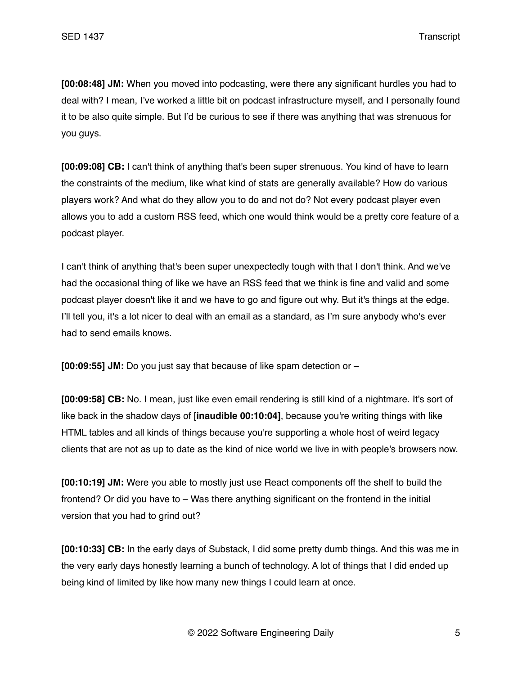**[00:08:48] JM:** When you moved into podcasting, were there any significant hurdles you had to deal with? I mean, I've worked a little bit on podcast infrastructure myself, and I personally found it to be also quite simple. But I'd be curious to see if there was anything that was strenuous for you guys.

**[00:09:08] CB:** I can't think of anything that's been super strenuous. You kind of have to learn the constraints of the medium, like what kind of stats are generally available? How do various players work? And what do they allow you to do and not do? Not every podcast player even allows you to add a custom RSS feed, which one would think would be a pretty core feature of a podcast player.

I can't think of anything that's been super unexpectedly tough with that I don't think. And we've had the occasional thing of like we have an RSS feed that we think is fine and valid and some podcast player doesn't like it and we have to go and figure out why. But it's things at the edge. I'll tell you, it's a lot nicer to deal with an email as a standard, as I'm sure anybody who's ever had to send emails knows.

**[00:09:55] JM:** Do you just say that because of like spam detection or –

**[00:09:58] CB:** No. I mean, just like even email rendering is still kind of a nightmare. It's sort of like back in the shadow days of [**inaudible 00:10:04]**, because you're writing things with like HTML tables and all kinds of things because you're supporting a whole host of weird legacy clients that are not as up to date as the kind of nice world we live in with people's browsers now.

**[00:10:19] JM:** Were you able to mostly just use React components off the shelf to build the frontend? Or did you have to – Was there anything significant on the frontend in the initial version that you had to grind out?

**[00:10:33] CB:** In the early days of Substack, I did some pretty dumb things. And this was me in the very early days honestly learning a bunch of technology. A lot of things that I did ended up being kind of limited by like how many new things I could learn at once.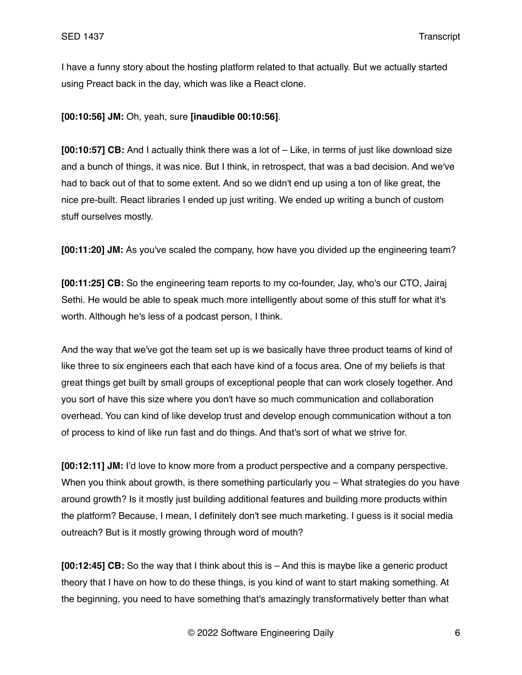I have a funny story about the hosting platform related to that actually. But we actually started using Preact back in the day, which was like a React clone.

**[00:10:56] JM:** Oh, yeah, sure **[inaudible 00:10:56]**.

**[00:10:57] CB:** And I actually think there was a lot of – Like, in terms of just like download size and a bunch of things, it was nice. But I think, in retrospect, that was a bad decision. And we've had to back out of that to some extent. And so we didn't end up using a ton of like great, the nice pre-built. React libraries I ended up just writing. We ended up writing a bunch of custom stuff ourselves mostly.

**[00:11:20] JM:** As you've scaled the company, how have you divided up the engineering team?

**[00:11:25] CB:** So the engineering team reports to my co-founder, Jay, who's our CTO, Jairaj Sethi. He would be able to speak much more intelligently about some of this stuff for what it's worth. Although he's less of a podcast person, I think.

And the way that we've got the team set up is we basically have three product teams of kind of like three to six engineers each that each have kind of a focus area. One of my beliefs is that great things get built by small groups of exceptional people that can work closely together. And you sort of have this size where you don't have so much communication and collaboration overhead. You can kind of like develop trust and develop enough communication without a ton of process to kind of like run fast and do things. And that's sort of what we strive for.

**[00:12:11] JM:** I'd love to know more from a product perspective and a company perspective. When you think about growth, is there something particularly you – What strategies do you have around growth? Is it mostly just building additional features and building more products within the platform? Because, I mean, I definitely don't see much marketing. I guess is it social media outreach? But is it mostly growing through word of mouth?

**[00:12:45] CB:** So the way that I think about this is – And this is maybe like a generic product theory that I have on how to do these things, is you kind of want to start making something. At the beginning, you need to have something that's amazingly transformatively better than what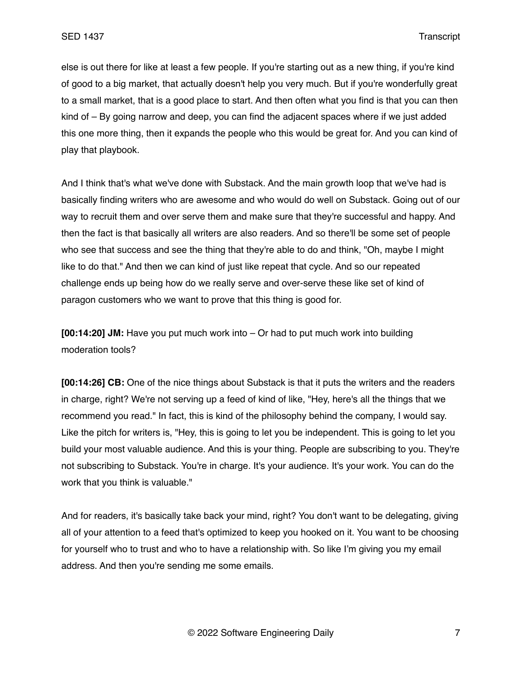else is out there for like at least a few people. If you're starting out as a new thing, if you're kind of good to a big market, that actually doesn't help you very much. But if you're wonderfully great to a small market, that is a good place to start. And then often what you find is that you can then kind of – By going narrow and deep, you can find the adjacent spaces where if we just added this one more thing, then it expands the people who this would be great for. And you can kind of play that playbook.

And I think that's what we've done with Substack. And the main growth loop that we've had is basically finding writers who are awesome and who would do well on Substack. Going out of our way to recruit them and over serve them and make sure that they're successful and happy. And then the fact is that basically all writers are also readers. And so there'll be some set of people who see that success and see the thing that they're able to do and think, "Oh, maybe I might like to do that." And then we can kind of just like repeat that cycle. And so our repeated challenge ends up being how do we really serve and over-serve these like set of kind of paragon customers who we want to prove that this thing is good for.

**[00:14:20] JM:** Have you put much work into – Or had to put much work into building moderation tools?

**[00:14:26] CB:** One of the nice things about Substack is that it puts the writers and the readers in charge, right? We're not serving up a feed of kind of like, "Hey, here's all the things that we recommend you read." In fact, this is kind of the philosophy behind the company, I would say. Like the pitch for writers is, "Hey, this is going to let you be independent. This is going to let you build your most valuable audience. And this is your thing. People are subscribing to you. They're not subscribing to Substack. You're in charge. It's your audience. It's your work. You can do the work that you think is valuable."

And for readers, it's basically take back your mind, right? You don't want to be delegating, giving all of your attention to a feed that's optimized to keep you hooked on it. You want to be choosing for yourself who to trust and who to have a relationship with. So like I'm giving you my email address. And then you're sending me some emails.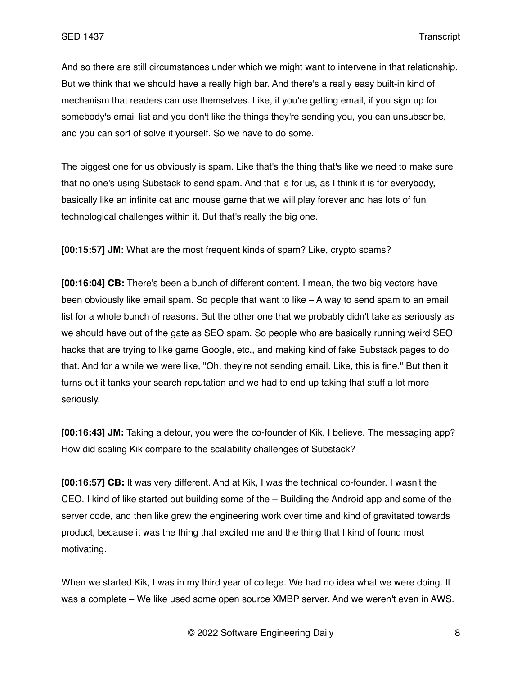And so there are still circumstances under which we might want to intervene in that relationship. But we think that we should have a really high bar. And there's a really easy built-in kind of mechanism that readers can use themselves. Like, if you're getting email, if you sign up for somebody's email list and you don't like the things they're sending you, you can unsubscribe, and you can sort of solve it yourself. So we have to do some.

The biggest one for us obviously is spam. Like that's the thing that's like we need to make sure that no one's using Substack to send spam. And that is for us, as I think it is for everybody, basically like an infinite cat and mouse game that we will play forever and has lots of fun technological challenges within it. But that's really the big one.

**[00:15:57] JM:** What are the most frequent kinds of spam? Like, crypto scams?

**[00:16:04] CB:** There's been a bunch of different content. I mean, the two big vectors have been obviously like email spam. So people that want to like – A way to send spam to an email list for a whole bunch of reasons. But the other one that we probably didn't take as seriously as we should have out of the gate as SEO spam. So people who are basically running weird SEO hacks that are trying to like game Google, etc., and making kind of fake Substack pages to do that. And for a while we were like, "Oh, they're not sending email. Like, this is fine." But then it turns out it tanks your search reputation and we had to end up taking that stuff a lot more seriously.

**[00:16:43] JM:** Taking a detour, you were the co-founder of Kik, I believe. The messaging app? How did scaling Kik compare to the scalability challenges of Substack?

**[00:16:57] CB:** It was very different. And at Kik, I was the technical co-founder. I wasn't the CEO. I kind of like started out building some of the – Building the Android app and some of the server code, and then like grew the engineering work over time and kind of gravitated towards product, because it was the thing that excited me and the thing that I kind of found most motivating.

When we started Kik, I was in my third year of college. We had no idea what we were doing. It was a complete – We like used some open source XMBP server. And we weren't even in AWS.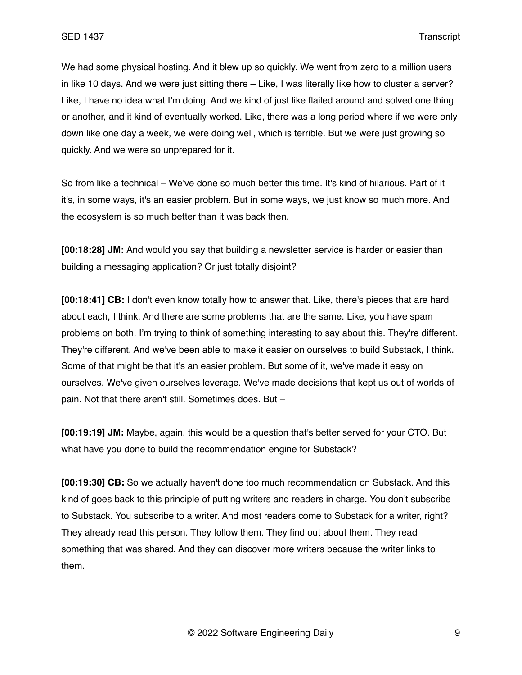We had some physical hosting. And it blew up so quickly. We went from zero to a million users in like 10 days. And we were just sitting there – Like, I was literally like how to cluster a server? Like, I have no idea what I'm doing. And we kind of just like flailed around and solved one thing or another, and it kind of eventually worked. Like, there was a long period where if we were only down like one day a week, we were doing well, which is terrible. But we were just growing so quickly. And we were so unprepared for it.

So from like a technical – We've done so much better this time. It's kind of hilarious. Part of it it's, in some ways, it's an easier problem. But in some ways, we just know so much more. And the ecosystem is so much better than it was back then.

**[00:18:28] JM:** And would you say that building a newsletter service is harder or easier than building a messaging application? Or just totally disjoint?

**[00:18:41] CB:** I don't even know totally how to answer that. Like, there's pieces that are hard about each, I think. And there are some problems that are the same. Like, you have spam problems on both. I'm trying to think of something interesting to say about this. They're different. They're different. And we've been able to make it easier on ourselves to build Substack, I think. Some of that might be that it's an easier problem. But some of it, we've made it easy on ourselves. We've given ourselves leverage. We've made decisions that kept us out of worlds of pain. Not that there aren't still. Sometimes does. But –

**[00:19:19] JM:** Maybe, again, this would be a question that's better served for your CTO. But what have you done to build the recommendation engine for Substack?

**[00:19:30] CB:** So we actually haven't done too much recommendation on Substack. And this kind of goes back to this principle of putting writers and readers in charge. You don't subscribe to Substack. You subscribe to a writer. And most readers come to Substack for a writer, right? They already read this person. They follow them. They find out about them. They read something that was shared. And they can discover more writers because the writer links to them.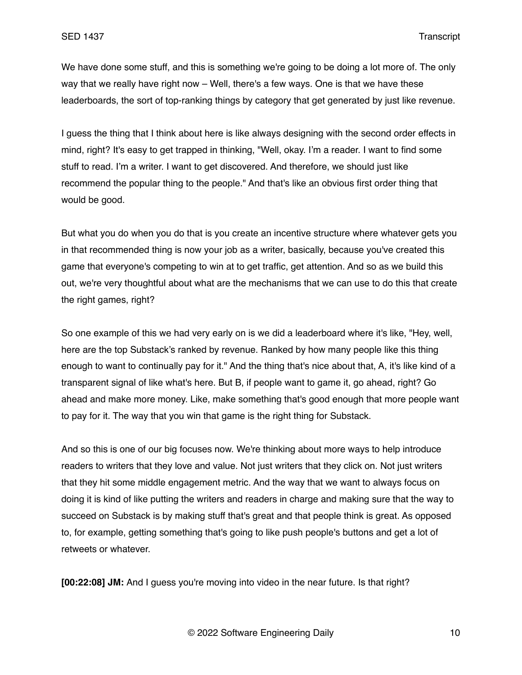We have done some stuff, and this is something we're going to be doing a lot more of. The only way that we really have right now – Well, there's a few ways. One is that we have these leaderboards, the sort of top-ranking things by category that get generated by just like revenue.

I guess the thing that I think about here is like always designing with the second order effects in mind, right? It's easy to get trapped in thinking, "Well, okay. I'm a reader. I want to find some stuff to read. I'm a writer. I want to get discovered. And therefore, we should just like recommend the popular thing to the people." And that's like an obvious first order thing that would be good.

But what you do when you do that is you create an incentive structure where whatever gets you in that recommended thing is now your job as a writer, basically, because you've created this game that everyone's competing to win at to get traffic, get attention. And so as we build this out, we're very thoughtful about what are the mechanisms that we can use to do this that create the right games, right?

So one example of this we had very early on is we did a leaderboard where it's like, "Hey, well, here are the top Substack's ranked by revenue. Ranked by how many people like this thing enough to want to continually pay for it." And the thing that's nice about that, A, it's like kind of a transparent signal of like what's here. But B, if people want to game it, go ahead, right? Go ahead and make more money. Like, make something that's good enough that more people want to pay for it. The way that you win that game is the right thing for Substack.

And so this is one of our big focuses now. We're thinking about more ways to help introduce readers to writers that they love and value. Not just writers that they click on. Not just writers that they hit some middle engagement metric. And the way that we want to always focus on doing it is kind of like putting the writers and readers in charge and making sure that the way to succeed on Substack is by making stuff that's great and that people think is great. As opposed to, for example, getting something that's going to like push people's buttons and get a lot of retweets or whatever.

**[00:22:08] JM:** And I guess you're moving into video in the near future. Is that right?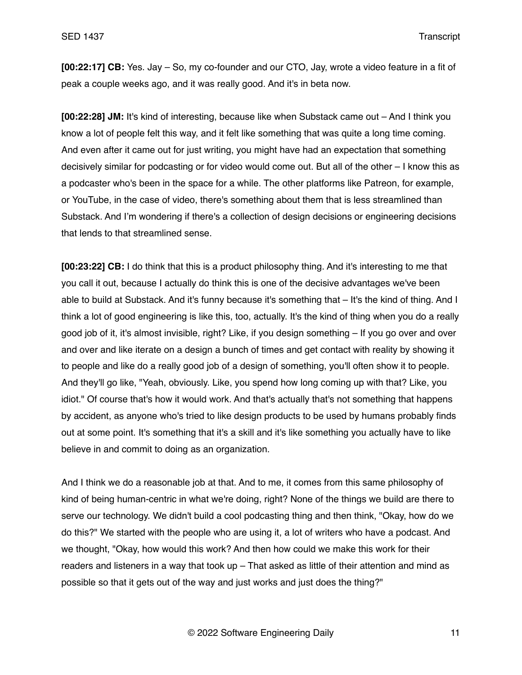**[00:22:17] CB:** Yes. Jay – So, my co-founder and our CTO, Jay, wrote a video feature in a fit of peak a couple weeks ago, and it was really good. And it's in beta now.

**[00:22:28] JM:** It's kind of interesting, because like when Substack came out – And I think you know a lot of people felt this way, and it felt like something that was quite a long time coming. And even after it came out for just writing, you might have had an expectation that something decisively similar for podcasting or for video would come out. But all of the other – I know this as a podcaster who's been in the space for a while. The other platforms like Patreon, for example, or YouTube, in the case of video, there's something about them that is less streamlined than Substack. And I'm wondering if there's a collection of design decisions or engineering decisions that lends to that streamlined sense.

**[00:23:22] CB:** I do think that this is a product philosophy thing. And it's interesting to me that you call it out, because I actually do think this is one of the decisive advantages we've been able to build at Substack. And it's funny because it's something that – It's the kind of thing. And I think a lot of good engineering is like this, too, actually. It's the kind of thing when you do a really good job of it, it's almost invisible, right? Like, if you design something – If you go over and over and over and like iterate on a design a bunch of times and get contact with reality by showing it to people and like do a really good job of a design of something, you'll often show it to people. And they'll go like, "Yeah, obviously. Like, you spend how long coming up with that? Like, you idiot." Of course that's how it would work. And that's actually that's not something that happens by accident, as anyone who's tried to like design products to be used by humans probably finds out at some point. It's something that it's a skill and it's like something you actually have to like believe in and commit to doing as an organization.

And I think we do a reasonable job at that. And to me, it comes from this same philosophy of kind of being human-centric in what we're doing, right? None of the things we build are there to serve our technology. We didn't build a cool podcasting thing and then think, "Okay, how do we do this?" We started with the people who are using it, a lot of writers who have a podcast. And we thought, "Okay, how would this work? And then how could we make this work for their readers and listeners in a way that took up – That asked as little of their attention and mind as possible so that it gets out of the way and just works and just does the thing?"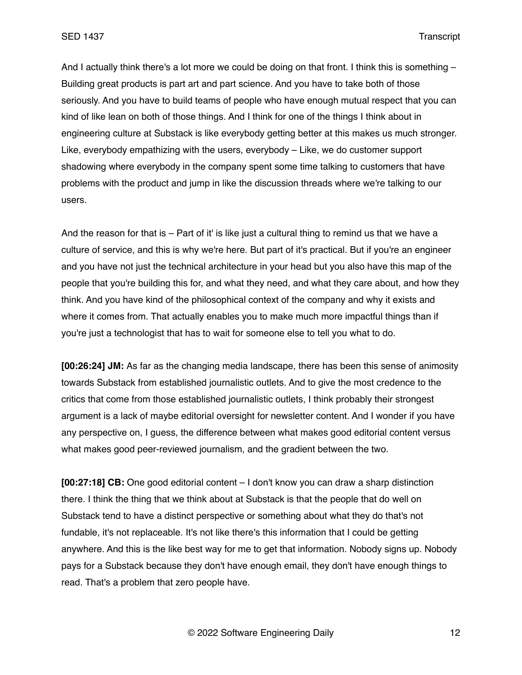And I actually think there's a lot more we could be doing on that front. I think this is something – Building great products is part art and part science. And you have to take both of those seriously. And you have to build teams of people who have enough mutual respect that you can kind of like lean on both of those things. And I think for one of the things I think about in engineering culture at Substack is like everybody getting better at this makes us much stronger. Like, everybody empathizing with the users, everybody – Like, we do customer support shadowing where everybody in the company spent some time talking to customers that have problems with the product and jump in like the discussion threads where we're talking to our users.

And the reason for that is – Part of it' is like just a cultural thing to remind us that we have a culture of service, and this is why we're here. But part of it's practical. But if you're an engineer and you have not just the technical architecture in your head but you also have this map of the people that you're building this for, and what they need, and what they care about, and how they think. And you have kind of the philosophical context of the company and why it exists and where it comes from. That actually enables you to make much more impactful things than if you're just a technologist that has to wait for someone else to tell you what to do.

**[00:26:24] JM:** As far as the changing media landscape, there has been this sense of animosity towards Substack from established journalistic outlets. And to give the most credence to the critics that come from those established journalistic outlets, I think probably their strongest argument is a lack of maybe editorial oversight for newsletter content. And I wonder if you have any perspective on, I guess, the difference between what makes good editorial content versus what makes good peer-reviewed journalism, and the gradient between the two.

**[00:27:18] CB:** One good editorial content – I don't know you can draw a sharp distinction there. I think the thing that we think about at Substack is that the people that do well on Substack tend to have a distinct perspective or something about what they do that's not fundable, it's not replaceable. It's not like there's this information that I could be getting anywhere. And this is the like best way for me to get that information. Nobody signs up. Nobody pays for a Substack because they don't have enough email, they don't have enough things to read. That's a problem that zero people have.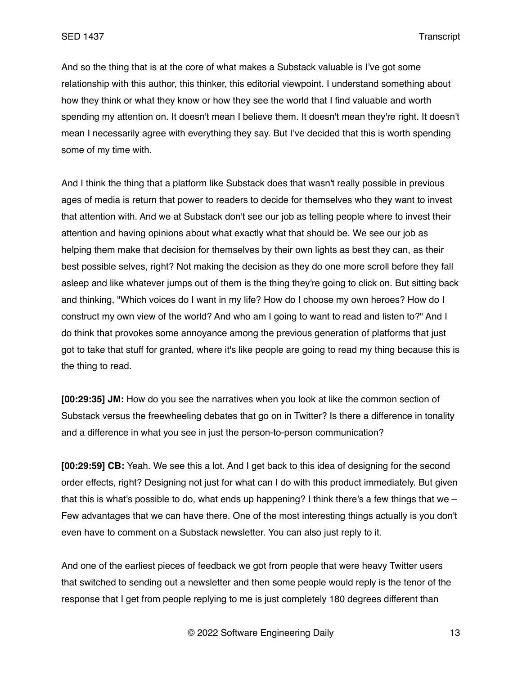And so the thing that is at the core of what makes a Substack valuable is I've got some relationship with this author, this thinker, this editorial viewpoint. I understand something about how they think or what they know or how they see the world that I find valuable and worth spending my attention on. It doesn't mean I believe them. It doesn't mean they're right. It doesn't mean I necessarily agree with everything they say. But I've decided that this is worth spending some of my time with.

And I think the thing that a platform like Substack does that wasn't really possible in previous ages of media is return that power to readers to decide for themselves who they want to invest that attention with. And we at Substack don't see our job as telling people where to invest their attention and having opinions about what exactly what that should be. We see our job as helping them make that decision for themselves by their own lights as best they can, as their best possible selves, right? Not making the decision as they do one more scroll before they fall asleep and like whatever jumps out of them is the thing they're going to click on. But sitting back and thinking, "Which voices do I want in my life? How do I choose my own heroes? How do I construct my own view of the world? And who am I going to want to read and listen to?" And I do think that provokes some annoyance among the previous generation of platforms that just got to take that stuff for granted, where it's like people are going to read my thing because this is the thing to read.

**[00:29:35] JM:** How do you see the narratives when you look at like the common section of Substack versus the freewheeling debates that go on in Twitter? Is there a difference in tonality and a difference in what you see in just the person-to-person communication?

**[00:29:59] CB:** Yeah. We see this a lot. And I get back to this idea of designing for the second order effects, right? Designing not just for what can I do with this product immediately. But given that this is what's possible to do, what ends up happening? I think there's a few things that we  $-$ Few advantages that we can have there. One of the most interesting things actually is you don't even have to comment on a Substack newsletter. You can also just reply to it.

And one of the earliest pieces of feedback we got from people that were heavy Twitter users that switched to sending out a newsletter and then some people would reply is the tenor of the response that I get from people replying to me is just completely 180 degrees different than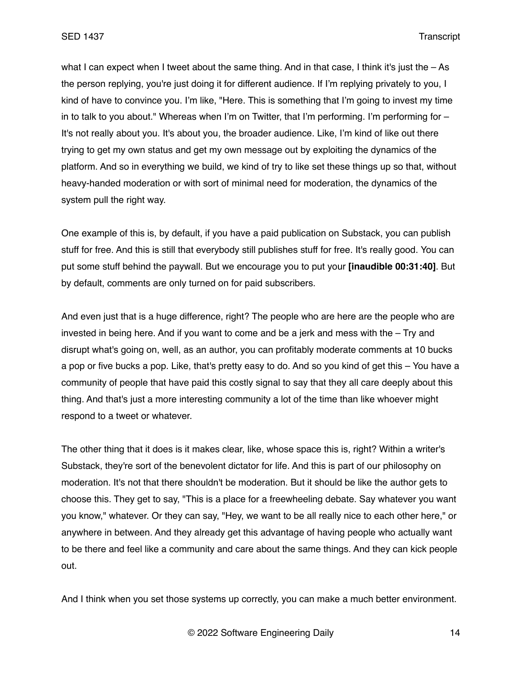what I can expect when I tweet about the same thing. And in that case, I think it's just the  $-$  As the person replying, you're just doing it for different audience. If I'm replying privately to you, I kind of have to convince you. I'm like, "Here. This is something that I'm going to invest my time in to talk to you about." Whereas when I'm on Twitter, that I'm performing. I'm performing for – It's not really about you. It's about you, the broader audience. Like, I'm kind of like out there trying to get my own status and get my own message out by exploiting the dynamics of the platform. And so in everything we build, we kind of try to like set these things up so that, without heavy-handed moderation or with sort of minimal need for moderation, the dynamics of the system pull the right way.

One example of this is, by default, if you have a paid publication on Substack, you can publish stuff for free. And this is still that everybody still publishes stuff for free. It's really good. You can put some stuff behind the paywall. But we encourage you to put your **[inaudible 00:31:40]**. But by default, comments are only turned on for paid subscribers.

And even just that is a huge difference, right? The people who are here are the people who are invested in being here. And if you want to come and be a jerk and mess with the – Try and disrupt what's going on, well, as an author, you can profitably moderate comments at 10 bucks a pop or five bucks a pop. Like, that's pretty easy to do. And so you kind of get this – You have a community of people that have paid this costly signal to say that they all care deeply about this thing. And that's just a more interesting community a lot of the time than like whoever might respond to a tweet or whatever.

The other thing that it does is it makes clear, like, whose space this is, right? Within a writer's Substack, they're sort of the benevolent dictator for life. And this is part of our philosophy on moderation. It's not that there shouldn't be moderation. But it should be like the author gets to choose this. They get to say, "This is a place for a freewheeling debate. Say whatever you want you know," whatever. Or they can say, "Hey, we want to be all really nice to each other here," or anywhere in between. And they already get this advantage of having people who actually want to be there and feel like a community and care about the same things. And they can kick people out.

And I think when you set those systems up correctly, you can make a much better environment.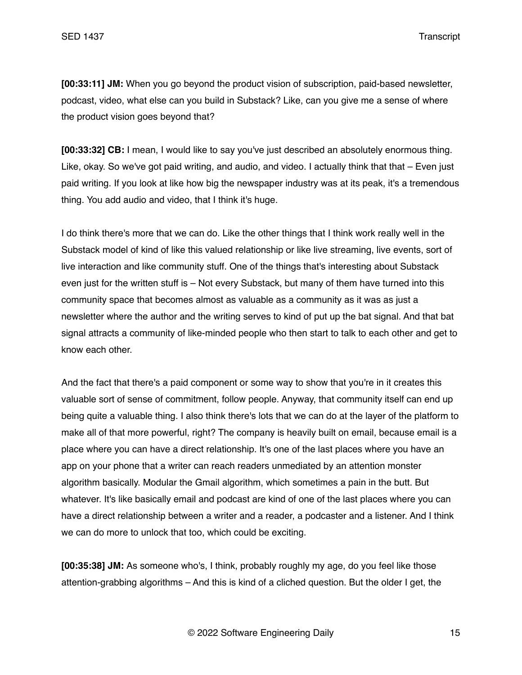**[00:33:11] JM:** When you go beyond the product vision of subscription, paid-based newsletter, podcast, video, what else can you build in Substack? Like, can you give me a sense of where the product vision goes beyond that?

**[00:33:32] CB:** I mean, I would like to say you've just described an absolutely enormous thing. Like, okay. So we've got paid writing, and audio, and video. I actually think that that  $-$  Even just paid writing. If you look at like how big the newspaper industry was at its peak, it's a tremendous thing. You add audio and video, that I think it's huge.

I do think there's more that we can do. Like the other things that I think work really well in the Substack model of kind of like this valued relationship or like live streaming, live events, sort of live interaction and like community stuff. One of the things that's interesting about Substack even just for the written stuff is – Not every Substack, but many of them have turned into this community space that becomes almost as valuable as a community as it was as just a newsletter where the author and the writing serves to kind of put up the bat signal. And that bat signal attracts a community of like-minded people who then start to talk to each other and get to know each other.

And the fact that there's a paid component or some way to show that you're in it creates this valuable sort of sense of commitment, follow people. Anyway, that community itself can end up being quite a valuable thing. I also think there's lots that we can do at the layer of the platform to make all of that more powerful, right? The company is heavily built on email, because email is a place where you can have a direct relationship. It's one of the last places where you have an app on your phone that a writer can reach readers unmediated by an attention monster algorithm basically. Modular the Gmail algorithm, which sometimes a pain in the butt. But whatever. It's like basically email and podcast are kind of one of the last places where you can have a direct relationship between a writer and a reader, a podcaster and a listener. And I think we can do more to unlock that too, which could be exciting.

**[00:35:38] JM:** As someone who's, I think, probably roughly my age, do you feel like those attention-grabbing algorithms – And this is kind of a cliched question. But the older I get, the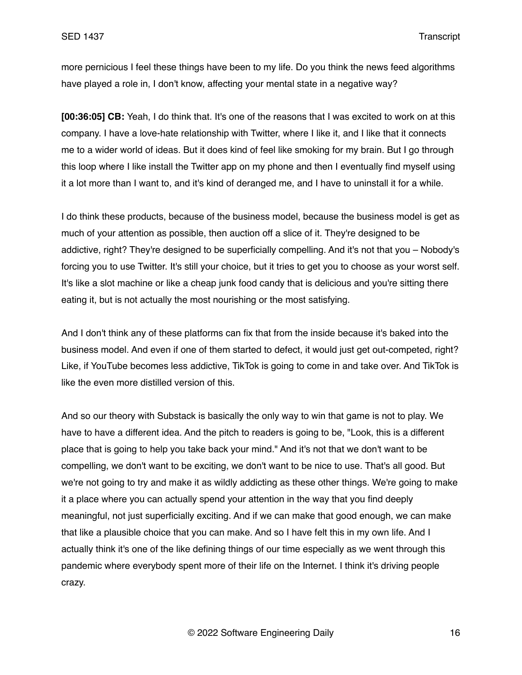more pernicious I feel these things have been to my life. Do you think the news feed algorithms have played a role in, I don't know, affecting your mental state in a negative way?

**[00:36:05] CB:** Yeah, I do think that. It's one of the reasons that I was excited to work on at this company. I have a love-hate relationship with Twitter, where I like it, and I like that it connects me to a wider world of ideas. But it does kind of feel like smoking for my brain. But I go through this loop where I like install the Twitter app on my phone and then I eventually find myself using it a lot more than I want to, and it's kind of deranged me, and I have to uninstall it for a while.

I do think these products, because of the business model, because the business model is get as much of your attention as possible, then auction off a slice of it. They're designed to be addictive, right? They're designed to be superficially compelling. And it's not that you – Nobody's forcing you to use Twitter. It's still your choice, but it tries to get you to choose as your worst self. It's like a slot machine or like a cheap junk food candy that is delicious and you're sitting there eating it, but is not actually the most nourishing or the most satisfying.

And I don't think any of these platforms can fix that from the inside because it's baked into the business model. And even if one of them started to defect, it would just get out-competed, right? Like, if YouTube becomes less addictive, TikTok is going to come in and take over. And TikTok is like the even more distilled version of this.

And so our theory with Substack is basically the only way to win that game is not to play. We have to have a different idea. And the pitch to readers is going to be, "Look, this is a different place that is going to help you take back your mind." And it's not that we don't want to be compelling, we don't want to be exciting, we don't want to be nice to use. That's all good. But we're not going to try and make it as wildly addicting as these other things. We're going to make it a place where you can actually spend your attention in the way that you find deeply meaningful, not just superficially exciting. And if we can make that good enough, we can make that like a plausible choice that you can make. And so I have felt this in my own life. And I actually think it's one of the like defining things of our time especially as we went through this pandemic where everybody spent more of their life on the Internet. I think it's driving people crazy.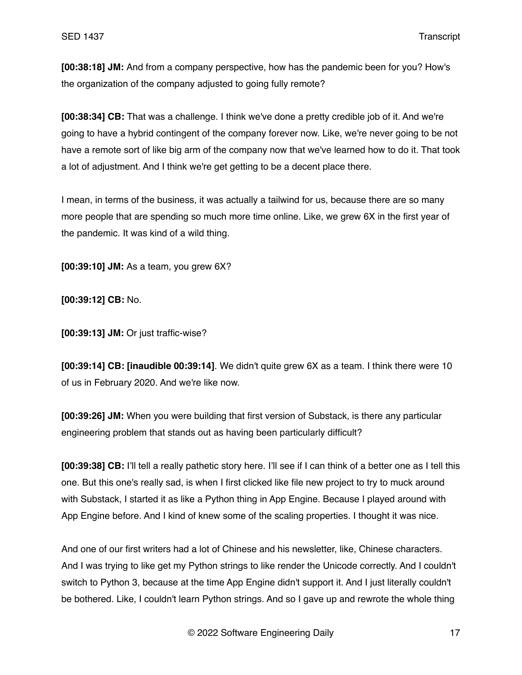**[00:38:18] JM:** And from a company perspective, how has the pandemic been for you? How's the organization of the company adjusted to going fully remote?

**[00:38:34] CB:** That was a challenge. I think we've done a pretty credible job of it. And we're going to have a hybrid contingent of the company forever now. Like, we're never going to be not have a remote sort of like big arm of the company now that we've learned how to do it. That took a lot of adjustment. And I think we're get getting to be a decent place there.

I mean, in terms of the business, it was actually a tailwind for us, because there are so many more people that are spending so much more time online. Like, we grew 6X in the first year of the pandemic. It was kind of a wild thing.

**[00:39:10] JM:** As a team, you grew 6X?

**[00:39:12] CB:** No.

**[00:39:13] JM:** Or just traffic-wise?

**[00:39:14] CB: [inaudible 00:39:14]**. We didn't quite grew 6X as a team. I think there were 10 of us in February 2020. And we're like now.

**[00:39:26] JM:** When you were building that first version of Substack, is there any particular engineering problem that stands out as having been particularly difficult?

**[00:39:38] CB:** I'll tell a really pathetic story here. I'll see if I can think of a better one as I tell this one. But this one's really sad, is when I first clicked like file new project to try to muck around with Substack, I started it as like a Python thing in App Engine. Because I played around with App Engine before. And I kind of knew some of the scaling properties. I thought it was nice.

And one of our first writers had a lot of Chinese and his newsletter, like, Chinese characters. And I was trying to like get my Python strings to like render the Unicode correctly. And I couldn't switch to Python 3, because at the time App Engine didn't support it. And I just literally couldn't be bothered. Like, I couldn't learn Python strings. And so I gave up and rewrote the whole thing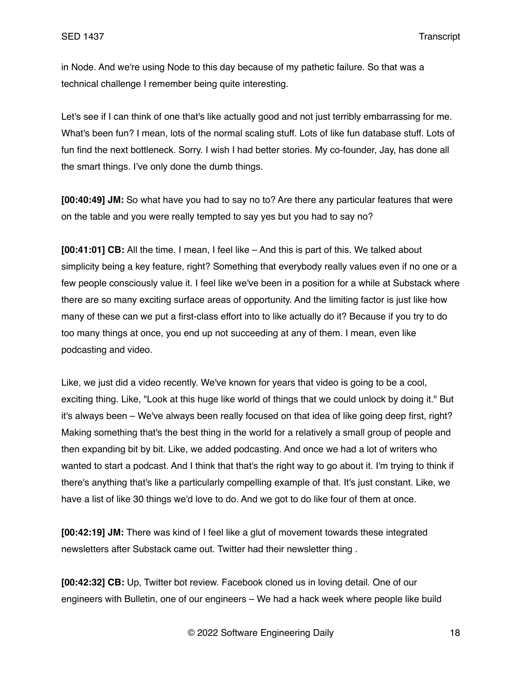in Node. And we're using Node to this day because of my pathetic failure. So that was a technical challenge I remember being quite interesting.

Let's see if I can think of one that's like actually good and not just terribly embarrassing for me. What's been fun? I mean, lots of the normal scaling stuff. Lots of like fun database stuff. Lots of fun find the next bottleneck. Sorry. I wish I had better stories. My co-founder, Jay, has done all the smart things. I've only done the dumb things.

**[00:40:49] JM:** So what have you had to say no to? Are there any particular features that were on the table and you were really tempted to say yes but you had to say no?

**[00:41:01] CB:** All the time. I mean, I feel like – And this is part of this. We talked about simplicity being a key feature, right? Something that everybody really values even if no one or a few people consciously value it. I feel like we've been in a position for a while at Substack where there are so many exciting surface areas of opportunity. And the limiting factor is just like how many of these can we put a first-class effort into to like actually do it? Because if you try to do too many things at once, you end up not succeeding at any of them. I mean, even like podcasting and video.

Like, we just did a video recently. We've known for years that video is going to be a cool, exciting thing. Like, "Look at this huge like world of things that we could unlock by doing it." But it's always been – We've always been really focused on that idea of like going deep first, right? Making something that's the best thing in the world for a relatively a small group of people and then expanding bit by bit. Like, we added podcasting. And once we had a lot of writers who wanted to start a podcast. And I think that that's the right way to go about it. I'm trying to think if there's anything that's like a particularly compelling example of that. It's just constant. Like, we have a list of like 30 things we'd love to do. And we got to do like four of them at once.

**[00:42:19] JM:** There was kind of I feel like a glut of movement towards these integrated newsletters after Substack came out. Twitter had their newsletter thing .

**[00:42:32] CB:** Up, Twitter bot review. Facebook cloned us in loving detail. One of our engineers with Bulletin, one of our engineers – We had a hack week where people like build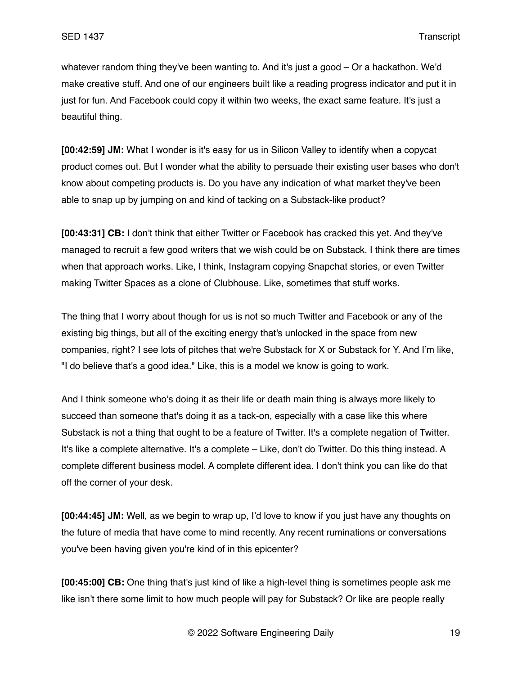whatever random thing they've been wanting to. And it's just a good – Or a hackathon. We'd make creative stuff. And one of our engineers built like a reading progress indicator and put it in just for fun. And Facebook could copy it within two weeks, the exact same feature. It's just a beautiful thing.

**[00:42:59] JM:** What I wonder is it's easy for us in Silicon Valley to identify when a copycat product comes out. But I wonder what the ability to persuade their existing user bases who don't know about competing products is. Do you have any indication of what market they've been able to snap up by jumping on and kind of tacking on a Substack-like product?

**[00:43:31] CB:** I don't think that either Twitter or Facebook has cracked this yet. And they've managed to recruit a few good writers that we wish could be on Substack. I think there are times when that approach works. Like, I think, Instagram copying Snapchat stories, or even Twitter making Twitter Spaces as a clone of Clubhouse. Like, sometimes that stuff works.

The thing that I worry about though for us is not so much Twitter and Facebook or any of the existing big things, but all of the exciting energy that's unlocked in the space from new companies, right? I see lots of pitches that we're Substack for X or Substack for Y. And I'm like, "I do believe that's a good idea." Like, this is a model we know is going to work.

And I think someone who's doing it as their life or death main thing is always more likely to succeed than someone that's doing it as a tack-on, especially with a case like this where Substack is not a thing that ought to be a feature of Twitter. It's a complete negation of Twitter. It's like a complete alternative. It's a complete – Like, don't do Twitter. Do this thing instead. A complete different business model. A complete different idea. I don't think you can like do that off the corner of your desk.

**[00:44:45] JM:** Well, as we begin to wrap up, I'd love to know if you just have any thoughts on the future of media that have come to mind recently. Any recent ruminations or conversations you've been having given you're kind of in this epicenter?

**[00:45:00] CB:** One thing that's just kind of like a high-level thing is sometimes people ask me like isn't there some limit to how much people will pay for Substack? Or like are people really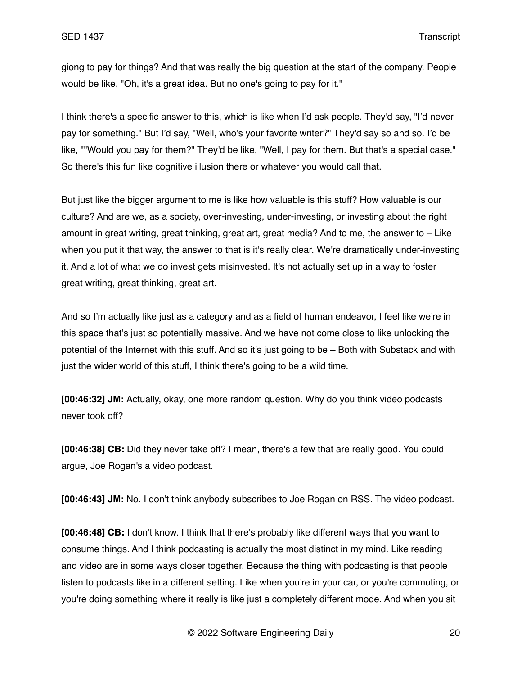giong to pay for things? And that was really the big question at the start of the company. People would be like, "Oh, it's a great idea. But no one's going to pay for it."

I think there's a specific answer to this, which is like when I'd ask people. They'd say, "I'd never pay for something." But I'd say, "Well, who's your favorite writer?" They'd say so and so. I'd be like, ""Would you pay for them?" They'd be like, "Well, I pay for them. But that's a special case." So there's this fun like cognitive illusion there or whatever you would call that.

But just like the bigger argument to me is like how valuable is this stuff? How valuable is our culture? And are we, as a society, over-investing, under-investing, or investing about the right amount in great writing, great thinking, great art, great media? And to me, the answer to – Like when you put it that way, the answer to that is it's really clear. We're dramatically under-investing it. And a lot of what we do invest gets misinvested. It's not actually set up in a way to foster great writing, great thinking, great art.

And so I'm actually like just as a category and as a field of human endeavor, I feel like we're in this space that's just so potentially massive. And we have not come close to like unlocking the potential of the Internet with this stuff. And so it's just going to be – Both with Substack and with just the wider world of this stuff, I think there's going to be a wild time.

**[00:46:32] JM:** Actually, okay, one more random question. Why do you think video podcasts never took off?

**[00:46:38] CB:** Did they never take off? I mean, there's a few that are really good. You could argue, Joe Rogan's a video podcast.

**[00:46:43] JM:** No. I don't think anybody subscribes to Joe Rogan on RSS. The video podcast.

**[00:46:48] CB:** I don't know. I think that there's probably like different ways that you want to consume things. And I think podcasting is actually the most distinct in my mind. Like reading and video are in some ways closer together. Because the thing with podcasting is that people listen to podcasts like in a different setting. Like when you're in your car, or you're commuting, or you're doing something where it really is like just a completely different mode. And when you sit